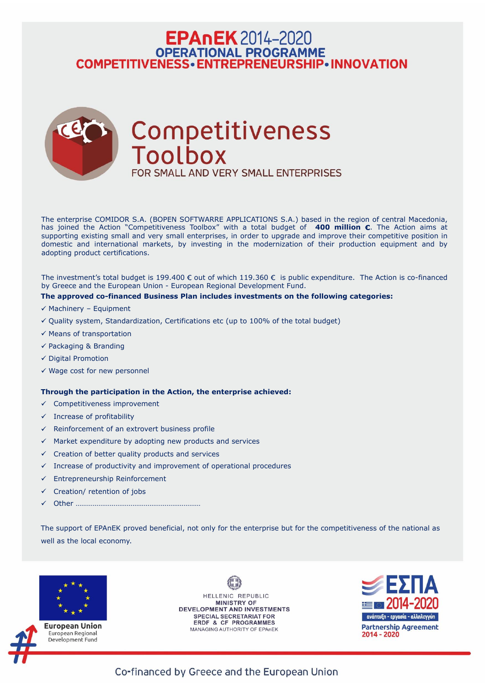## **EPAnEK** 2014-2020 OPERATIONAL PROGRAMME<br>COMPETITIVENESS • ENTREPRENEURSHIP • INNOVATION



The enterprise COMIDOR S.A. (BOPEN SOFTWARRE APPLICATIONS S.A.) based in the region of central Macedonia, has joined the Action "Competitiveness Toolbox" with a total budget of **400 million €**. The Action aims at supporting existing small and very small enterprises, in order to upgrade and improve their competitive position in domestic and international markets, by investing in the modernization of their production equipment and by adopting product certifications.

The investment's total budget is 199.400  $\epsilon$  out of which 119.360  $\epsilon$  is public expenditure. The Action is co-financed by Greece and the European Union - European Regional Development Fund.

- $\checkmark$  Competitiveness improvement
- $\checkmark$  Increase of profitability
- $\checkmark$  Reinforcement of an extrovert business profile
- $\checkmark$  Market expenditure by adopting new products and services
- $\checkmark$  Creation of better quality products and services
- $\checkmark$  Increase of productivity and improvement of operational procedures
- $\checkmark$  Entrepreneurship Reinforcement
- Creation/ retention of jobs  $\checkmark$
- Other …………………………………………………………

### **The approved co-financed Business Plan includes investments on the following categories:**

- $\checkmark$  Machinery Equipment
- $\checkmark$  Quality system, Standardization, Certifications etc (up to 100% of the total budget)
- $\checkmark$  Means of transportation
- $\checkmark$  Packaging & Branding
- $\checkmark$  Digital Promotion
- $\checkmark$  Wage cost for new personnel

### **Through the participation in the Action, the enterprise achieved:**

The support of EPAnEK proved beneficial, not only for the enterprise but for the competitiveness of the national as well as the local economy.





European Union European Regional Development Fund

HELLENIC REPUBLIC **MINISTRY OF DEVELOPMENT AND INVESTMENTS SPECIAL SECRETARIAT FOR ERDF & CF PROGRAMMES** MANAGING AUTHORITY OF EPAnEK



Co-financed by Greece and the European Union